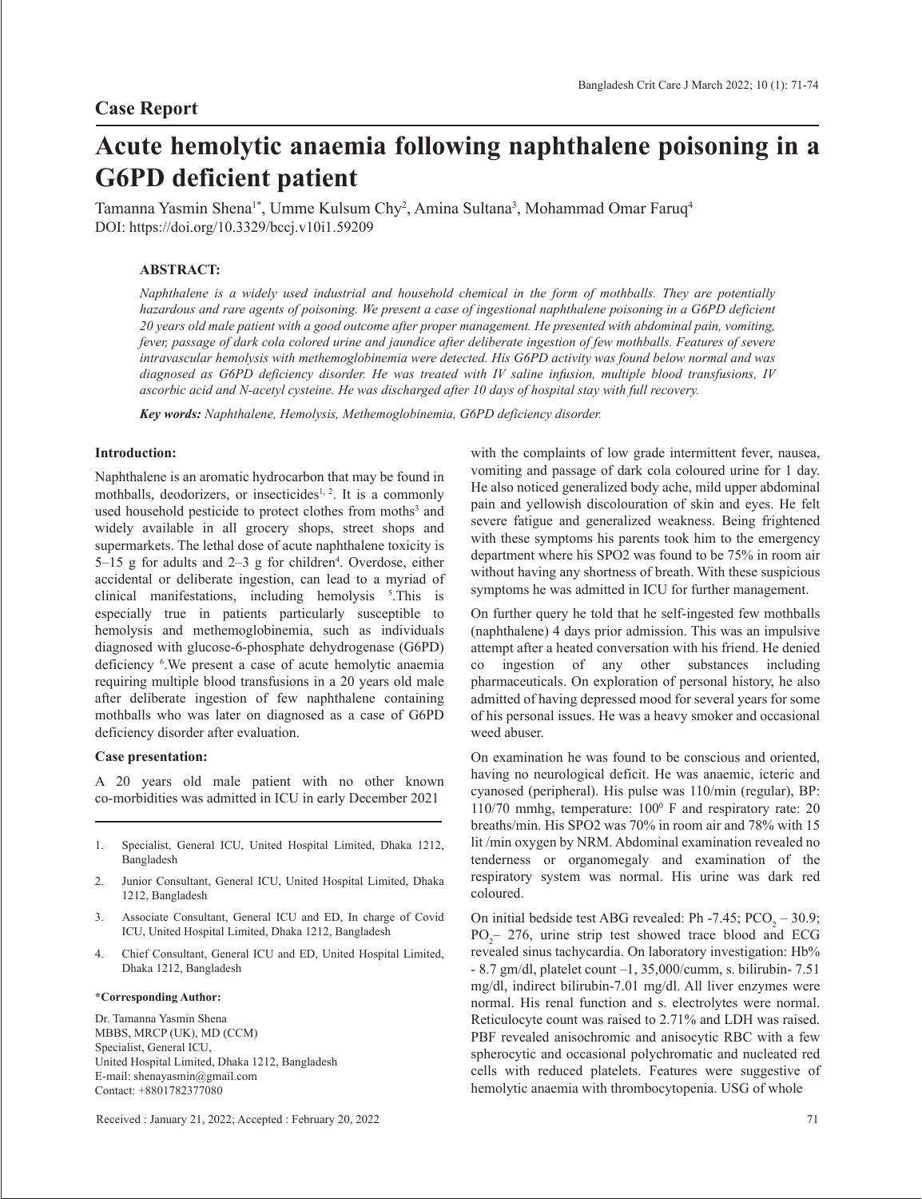# **Acute hemolytic anaemia following naphthalene poisoning in a G6PD deficient patient**

Tamanna Yasmin Shena<sup>1\*</sup>, Umme Kulsum Chy<sup>2</sup>, Amina Sultana<sup>3</sup>, Mohammad Omar Faruq<sup>4</sup> DOI: https://doi.org/10.3329/bccj.v10i1.59209

# **ABSTRACT:**

*Naphthalene is a widely used industrial and household chemical in the form of mothballs. They are potentially hazardous and rare agents of poisoning. We present a case of ingestional naphthalene poisoning in a G6PD deficient 20 years old male patient with a good outcome after proper management. He presented with abdominal pain, vomiting, fever, passage of dark cola colored urine and jaundice after deliberate ingestion of few mothballs. Features of severe intravascular hemolysis with methemoglobinemia were detected. His G6PD activity was found below normal and was diagnosed as G6PD deficiency disorder. He was treated with IV saline infusion, multiple blood transfusions, IV ascorbic acid and N-acetyl cysteine. He was discharged after 10 days of hospital stay with full recovery.*

*Key words: Naphthalene, Hemolysis, Methemoglobinemia, G6PD deficiency disorder.*

#### **Introduction:**

Naphthalene is an aromatic hydrocarbon that may be found in mothballs, deodorizers, or insecticides<sup> $1, 2$ </sup>. It is a commonly used household pesticide to protect clothes from moths<sup>3</sup> and widely available in all grocery shops, street shops and supermarkets. The lethal dose of acute naphthalene toxicity is  $5-15$  g for adults and  $2-3$  g for children<sup>4</sup>. Overdose, either accidental or deliberate ingestion, can lead to a myriad of clinical manifestations, including hemolysis 5 .This is especially true in patients particularly susceptible to hemolysis and methemoglobinemia, such as individuals diagnosed with glucose-6-phosphate dehydrogenase (G6PD) deficiency 6 .We present a case of acute hemolytic anaemia requiring multiple blood transfusions in a 20 years old male after deliberate ingestion of few naphthalene containing mothballs who was later on diagnosed as a case of G6PD deficiency disorder after evaluation.

#### **Case presentation:**

A 20 years old male patient with no other known co-morbidities was admitted in ICU in early December 2021

- 1. Specialist, General ICU, United Hospital Limited, Dhaka 1212, Bangladesh
- 2. Junior Consultant, General ICU, United Hospital Limited, Dhaka 1212, Bangladesh
- 3. Associate Consultant, General ICU and ED, In charge of Covid ICU, United Hospital Limited, Dhaka 1212, Bangladesh
- 4. Chief Consultant, General ICU and ED, United Hospital Limited, Dhaka 1212, Bangladesh

#### **\*Corresponding Author:**

Dr. Tamanna Yasmin Shena MBBS, MRCP (UK), MD (CCM) Specialist, General ICU, United Hospital Limited, Dhaka 1212, Bangladesh E-mail: shenayasmin@gmail.com Contact: +8801782377080

Received : January 21, 2022; Accepted : February 20, 2022 71

with the complaints of low grade intermittent fever, nausea, vomiting and passage of dark cola coloured urine for 1 day. He also noticed generalized body ache, mild upper abdominal pain and yellowish discolouration of skin and eyes. He felt severe fatigue and generalized weakness. Being frightened with these symptoms his parents took him to the emergency department where his SPO2 was found to be 75% in room air without having any shortness of breath. With these suspicious symptoms he was admitted in ICU for further management.

On further query he told that he self-ingested few mothballs (naphthalene) 4 days prior admission. This was an impulsive attempt after a heated conversation with his friend. He denied co ingestion of any other substances including pharmaceuticals. On exploration of personal history, he also admitted of having depressed mood for several years for some of his personal issues. He was a heavy smoker and occasional weed abuser.

On examination he was found to be conscious and oriented, having no neurological deficit. He was anaemic, icteric and cyanosed (peripheral). His pulse was 110/min (regular), BP: 110/70 mmhg, temperature: 100<sup>°</sup> F and respiratory rate: 20 breaths/min. His SPO2 was 70% in room air and 78% with 15 lit /min oxygen by NRM. Abdominal examination revealed no tenderness or organomegaly and examination of the respiratory system was normal. His urine was dark red coloured.

On initial bedside test ABG revealed: Ph -7.45;  $PCO<sub>2</sub> - 30.9$ ;  $PO<sub>2</sub>$  – 276, urine strip test showed trace blood and ECG revealed sinus tachycardia. On laboratory investigation: Hb% - 8.7 gm/dl, platelet count –1, 35,000/cumm, s. bilirubin- 7.51 mg/dl, indirect bilirubin-7.01 mg/dl. All liver enzymes were normal. His renal function and s. electrolytes were normal. Reticulocyte count was raised to 2.71% and LDH was raised. PBF revealed anisochromic and anisocytic RBC with a few spherocytic and occasional polychromatic and nucleated red cells with reduced platelets. Features were suggestive of hemolytic anaemia with thrombocytopenia. USG of whole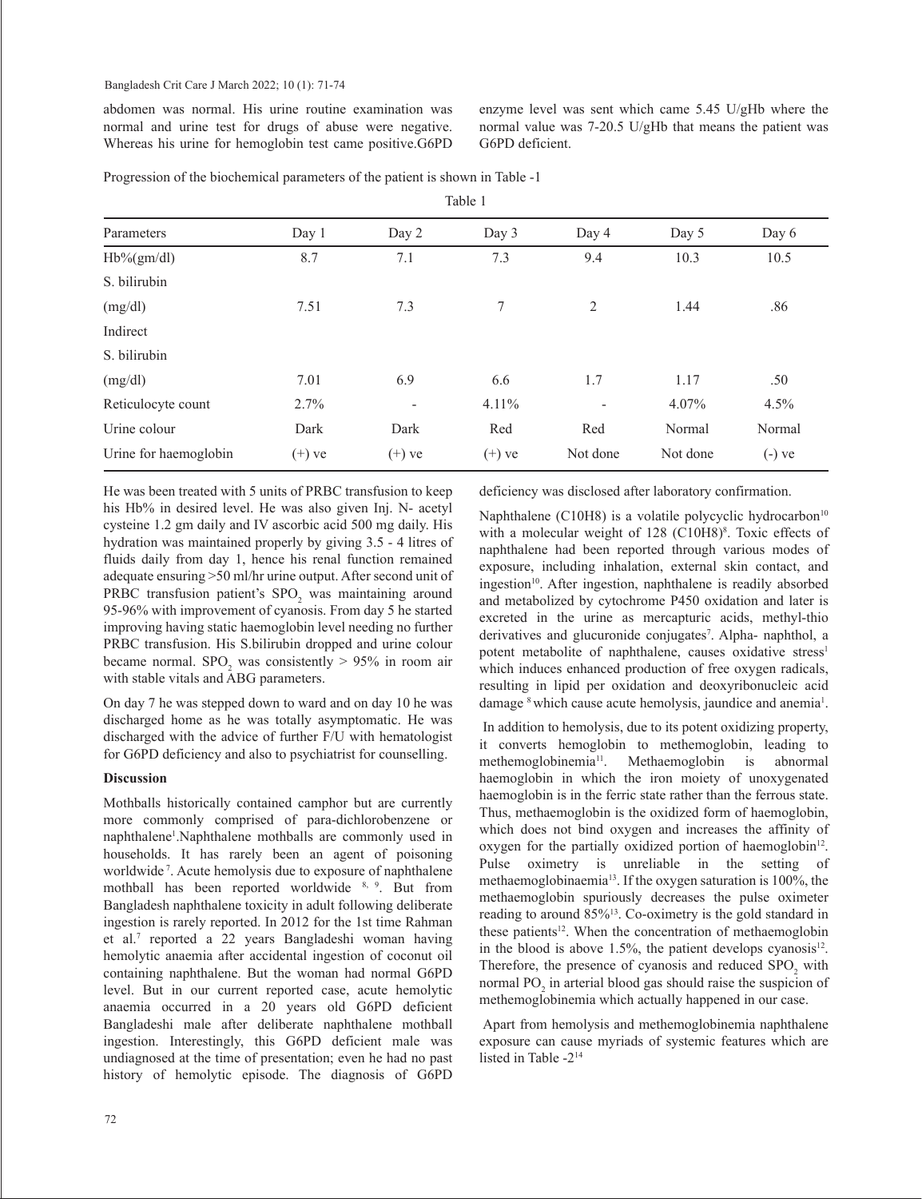abdomen was normal. His urine routine examination was normal and urine test for drugs of abuse were negative. Whereas his urine for hemoglobin test came positive.G6PD

enzyme level was sent which came 5.45 U/gHb where the normal value was 7-20.5 U/gHb that means the patient was G6PD deficient.

Progression of the biochemical parameters of the patient is shown in Table -1

| Parameters            | Day 1    | Day 2                    | Day 3    | Day 4                    | Day 5    | Day 6    |
|-----------------------|----------|--------------------------|----------|--------------------------|----------|----------|
| $Hb\%(gm/dl)$         | 8.7      | 7.1                      | 7.3      | 9.4                      | 10.3     | 10.5     |
| S. bilirubin          |          |                          |          |                          |          |          |
| (mg/dl)               | 7.51     | 7.3                      | 7        | 2                        | 1.44     | .86      |
| Indirect              |          |                          |          |                          |          |          |
| S. bilirubin          |          |                          |          |                          |          |          |
| (mg/dl)               | 7.01     | 6.9                      | 6.6      | 1.7                      | 1.17     | .50      |
| Reticulocyte count    | 2.7%     | $\overline{\phantom{a}}$ | $4.11\%$ | $\overline{\phantom{a}}$ | 4.07%    | $4.5\%$  |
| Urine colour          | Dark     | Dark                     | Red      | Red                      | Normal   | Normal   |
| Urine for haemoglobin | $(+)$ ve | $(+)$ ve                 | $(+)$ ve | Not done                 | Not done | $(-)$ ve |

Table 1

He was been treated with 5 units of PRBC transfusion to keep his Hb% in desired level. He was also given Inj. N- acetyl cysteine 1.2 gm daily and IV ascorbic acid 500 mg daily. His hydration was maintained properly by giving 3.5 - 4 litres of fluids daily from day 1, hence his renal function remained adequate ensuring >50 ml/hr urine output. After second unit of PRBC transfusion patient's  $SPO<sub>2</sub>$  was maintaining around 95-96% with improvement of cyanosis. From day 5 he started improving having static haemoglobin level needing no further PRBC transfusion. His S.bilirubin dropped and urine colour became normal.  $SPO<sub>2</sub>$  was consistently  $> 95\%$  in room air with stable vitals and ABG parameters.

On day 7 he was stepped down to ward and on day 10 he was discharged home as he was totally asymptomatic. He was discharged with the advice of further F/U with hematologist for G6PD deficiency and also to psychiatrist for counselling.

## **Discussion**

Mothballs historically contained camphor but are currently more commonly comprised of para-dichlorobenzene or naphthalene<sup>1</sup>. Naphthalene mothballs are commonly used in households. It has rarely been an agent of poisoning worldwide 7. Acute hemolysis due to exposure of naphthalene mothball has been reported worldwide 8, 9. But from Bangladesh naphthalene toxicity in adult following deliberate ingestion is rarely reported. In 2012 for the 1st time Rahman et al.7 reported a 22 years Bangladeshi woman having hemolytic anaemia after accidental ingestion of coconut oil containing naphthalene. But the woman had normal G6PD level. But in our current reported case, acute hemolytic anaemia occurred in a 20 years old G6PD deficient Bangladeshi male after deliberate naphthalene mothball ingestion. Interestingly, this G6PD deficient male was undiagnosed at the time of presentation; even he had no past history of hemolytic episode. The diagnosis of G6PD

deficiency was disclosed after laboratory confirmation.

Naphthalene (C10H8) is a volatile polycyclic hydrocarbon $10<sup>10</sup>$ with a molecular weight of 128 (C10H8)<sup>8</sup>. Toxic effects of naphthalene had been reported through various modes of exposure, including inhalation, external skin contact, and ingestion<sup>10</sup>. After ingestion, naphthalene is readily absorbed and metabolized by cytochrome P450 oxidation and later is excreted in the urine as mercapturic acids, methyl-thio derivatives and glucuronide conjugates<sup>7</sup>. Alpha- naphthol, a potent metabolite of naphthalene, causes oxidative stress<sup>1</sup> which induces enhanced production of free oxygen radicals, resulting in lipid per oxidation and deoxyribonucleic acid damage <sup>8</sup> which cause acute hemolysis, jaundice and anemia<sup>1</sup>.

 In addition to hemolysis, due to its potent oxidizing property, it converts hemoglobin to methemoglobin, leading to methemoglobinemia11. Methaemoglobin is abnormal haemoglobin in which the iron moiety of unoxygenated haemoglobin is in the ferric state rather than the ferrous state. Thus, methaemoglobin is the oxidized form of haemoglobin, which does not bind oxygen and increases the affinity of oxygen for the partially oxidized portion of haemoglobin $12$ . Pulse oximetry is unreliable in the setting of methaemoglobinaemia13. If the oxygen saturation is 100%, the methaemoglobin spuriously decreases the pulse oximeter reading to around 85%13. Co-oximetry is the gold standard in these patients<sup>12</sup>. When the concentration of methaemoglobin in the blood is above 1.5%, the patient develops cyanosis<sup>12</sup>. Therefore, the presence of cyanosis and reduced  $SPO<sub>2</sub>$  with normal  $PO<sub>2</sub>$  in arterial blood gas should raise the suspicion of methemoglobinemia which actually happened in our case.

 Apart from hemolysis and methemoglobinemia naphthalene exposure can cause myriads of systemic features which are listed in Table -214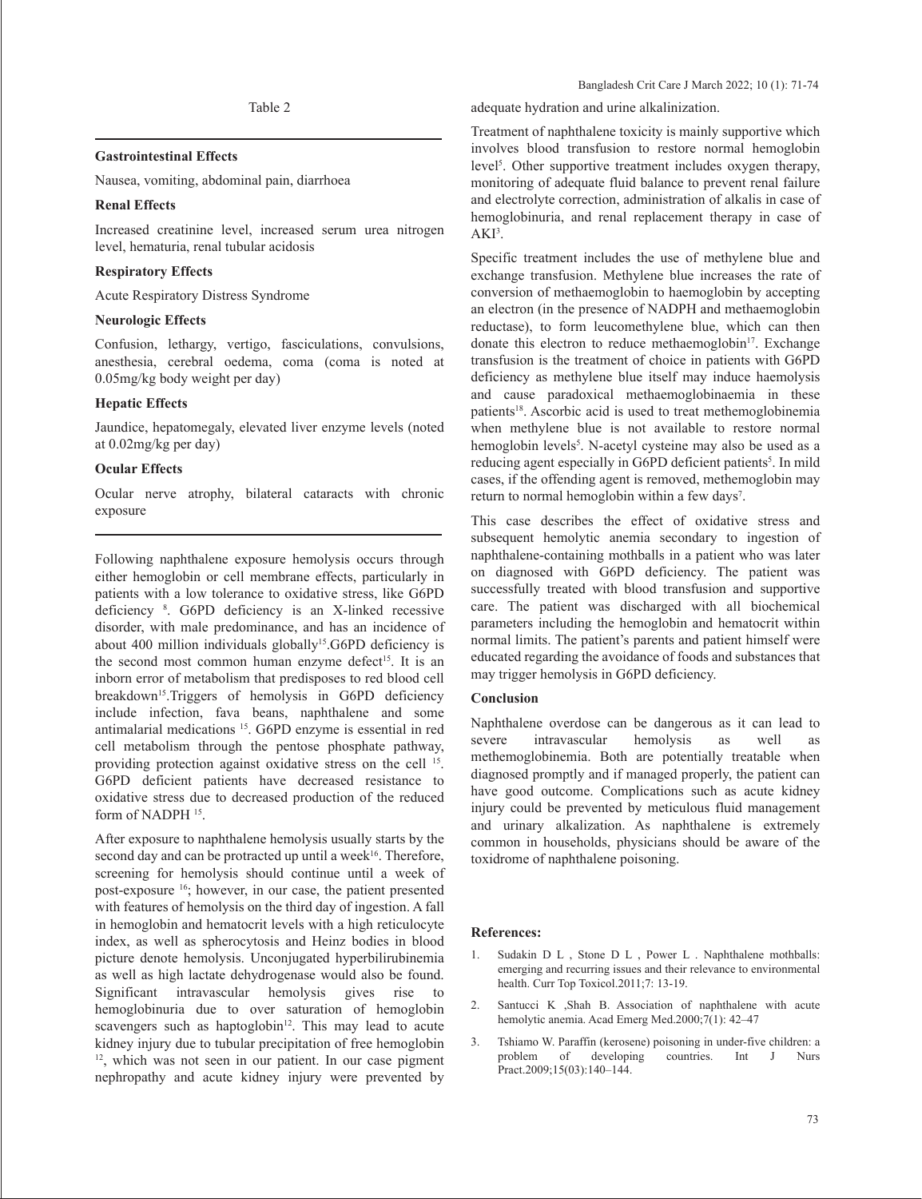#### **Gastrointestinal Effects**

Nausea, vomiting, abdominal pain, diarrhoea

#### **Renal Effects**

Increased creatinine level, increased serum urea nitrogen level, hematuria, renal tubular acidosis

#### **Respiratory Effects**

Acute Respiratory Distress Syndrome

#### **Neurologic Effects**

Confusion, lethargy, vertigo, fasciculations, convulsions, anesthesia, cerebral oedema, coma (coma is noted at 0.05mg/kg body weight per day)

## **Hepatic Effects**

Jaundice, hepatomegaly, elevated liver enzyme levels (noted at 0.02mg/kg per day)

## **Ocular Effects**

Ocular nerve atrophy, bilateral cataracts with chronic exposure

Following naphthalene exposure hemolysis occurs through either hemoglobin or cell membrane effects, particularly in patients with a low tolerance to oxidative stress, like G6PD deficiency 8 . G6PD deficiency is an X-linked recessive disorder, with male predominance, and has an incidence of about 400 million individuals globally<sup>15</sup>.G6PD deficiency is the second most common human enzyme defect<sup>15</sup>. It is an inborn error of metabolism that predisposes to red blood cell breakdown<sup>15</sup>.Triggers of hemolysis in G6PD deficiency include infection, fava beans, naphthalene and some antimalarial medications 15. G6PD enzyme is essential in red cell metabolism through the pentose phosphate pathway, providing protection against oxidative stress on the cell 15. G6PD deficient patients have decreased resistance to oxidative stress due to decreased production of the reduced form of NADPH<sup>15</sup>.

After exposure to naphthalene hemolysis usually starts by the second day and can be protracted up until a week $16$ . Therefore, screening for hemolysis should continue until a week of post-exposure 16; however, in our case, the patient presented with features of hemolysis on the third day of ingestion. A fall in hemoglobin and hematocrit levels with a high reticulocyte index, as well as spherocytosis and Heinz bodies in blood picture denote hemolysis. Unconjugated hyperbilirubinemia as well as high lactate dehydrogenase would also be found. Significant intravascular hemolysis gives rise to hemoglobinuria due to over saturation of hemoglobin scavengers such as haptoglobin $12$ . This may lead to acute kidney injury due to tubular precipitation of free hemoglobin  $12$ , which was not seen in our patient. In our case pigment nephropathy and acute kidney injury were prevented by

adequate hydration and urine alkalinization.

Treatment of naphthalene toxicity is mainly supportive which involves blood transfusion to restore normal hemoglobin level<sup>5</sup>. Other supportive treatment includes oxygen therapy, monitoring of adequate fluid balance to prevent renal failure and electrolyte correction, administration of alkalis in case of hemoglobinuria, and renal replacement therapy in case of AKI<sup>3</sup>.

Specific treatment includes the use of methylene blue and exchange transfusion. Methylene blue increases the rate of conversion of methaemoglobin to haemoglobin by accepting an electron (in the presence of NADPH and methaemoglobin reductase), to form leucomethylene blue, which can then donate this electron to reduce methaemoglobin<sup>17</sup>. Exchange transfusion is the treatment of choice in patients with G6PD deficiency as methylene blue itself may induce haemolysis and cause paradoxical methaemoglobinaemia in these patients<sup>18</sup>. Ascorbic acid is used to treat methemoglobinemia when methylene blue is not available to restore normal hemoglobin levels<sup>5</sup>. N-acetyl cysteine may also be used as a reducing agent especially in G6PD deficient patients<sup>5</sup>. In mild cases, if the offending agent is removed, methemoglobin may return to normal hemoglobin within a few days<sup>7</sup>.

This case describes the effect of oxidative stress and subsequent hemolytic anemia secondary to ingestion of naphthalene-containing mothballs in a patient who was later on diagnosed with G6PD deficiency. The patient was successfully treated with blood transfusion and supportive care. The patient was discharged with all biochemical parameters including the hemoglobin and hematocrit within normal limits. The patient's parents and patient himself were educated regarding the avoidance of foods and substances that may trigger hemolysis in G6PD deficiency.

#### **Conclusion**

Naphthalene overdose can be dangerous as it can lead to severe intravascular hemolysis as well as methemoglobinemia. Both are potentially treatable when diagnosed promptly and if managed properly, the patient can have good outcome. Complications such as acute kidney injury could be prevented by meticulous fluid management and urinary alkalization. As naphthalene is extremely common in households, physicians should be aware of the toxidrome of naphthalene poisoning.

#### **References:**

- 1. Sudakin D L , Stone D L , Power L . Naphthalene mothballs: emerging and recurring issues and their relevance to environmental health. Curr Top Toxicol.2011;7: 13-19.
- 2. Santucci K ,Shah B. Association of naphthalene with acute hemolytic anemia. Acad Emerg Med.2000;7(1): 42–47
- 3. Tshiamo W. Paraffin (kerosene) poisoning in under-five children: a problem of developing countries. Int J Nurs developing countries. Int J Nurs Pract.2009;15(03):140–144.